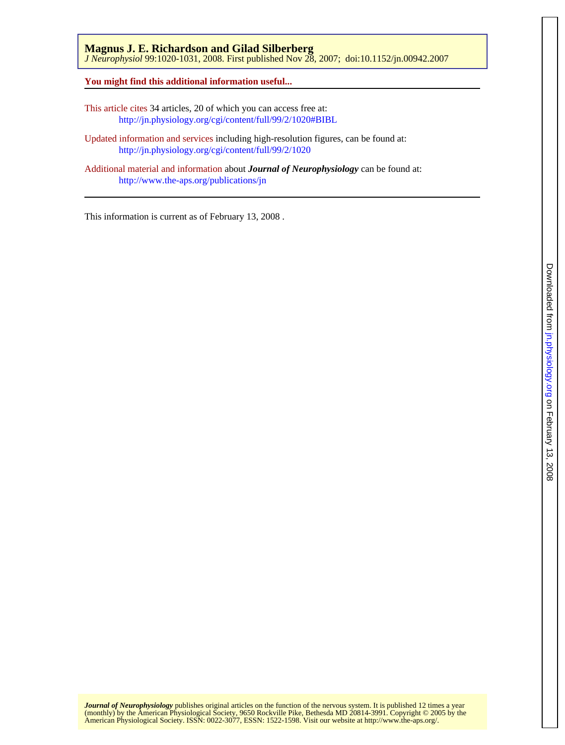# *J Neurophysiol* 99:1020-1031, 2008. First published Nov 28, 2007; doi:10.1152/jn.00942.2007 **Magnus J. E. Richardson and Gilad Silberberg**

**You might find this additional information useful...**

This article cites 34 articles, 20 of which you can access free at: <http://jn.physiology.org/cgi/content/full/99/2/1020#BIBL>

Updated information and services including high-resolution figures, can be found at: <http://jn.physiology.org/cgi/content/full/99/2/1020>

Additional material and information about *Journal of Neurophysiology* can be found at: <http://www.the-aps.org/publications/jn>

This information is current as of February 13, 2008 .

American Physiological Society. ISSN: 0022-3077, ESSN: 1522-1598. Visit our website at [http://www.the-aps.org/.](http://www.the-aps.org/) (monthly) by the American Physiological Society, 9650 Rockville Pike, Bethesda MD 20814-3991. Copyright © 2005 by the *Journal of Neurophysiology* publishes original articles on the function of the nervous system. It is published 12 times a year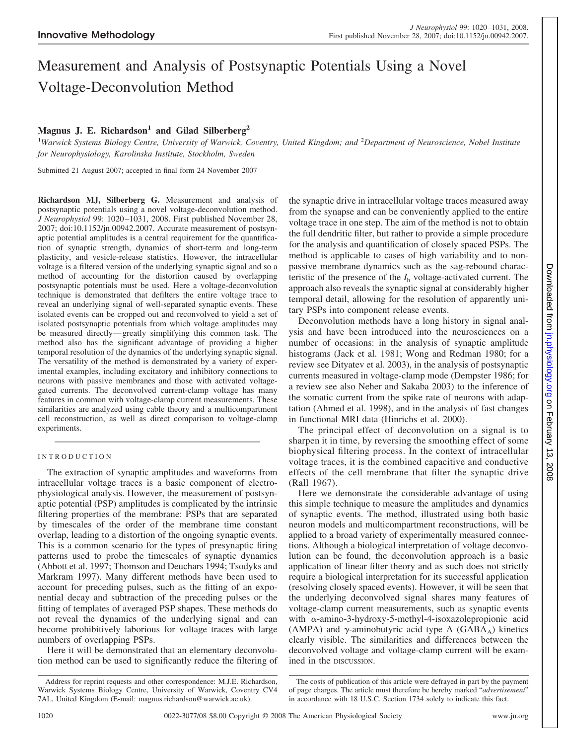# Measurement and Analysis of Postsynaptic Potentials Using a Novel Voltage-Deconvolution Method

# **Magnus J. E. Richardson<sup>1</sup> and Gilad Silberberg<sup>2</sup>**

<sup>1</sup> Warwick Systems Biology Centre, University of Warwick, Coventry, United Kingdom; and <sup>2</sup>Department of Neuroscience, Nobel Institute *for Neurophysiology, Karolinska Institute, Stockholm, Sweden*

Submitted 21 August 2007; accepted in final form 24 November 2007

**Richardson MJ, Silberberg G.** Measurement and analysis of postsynaptic potentials using a novel voltage-deconvolution method. *J Neurophysiol* 99: 1020 –1031, 2008. First published November 28, 2007; doi:10.1152/jn.00942.2007. Accurate measurement of postsynaptic potential amplitudes is a central requirement for the quantification of synaptic strength, dynamics of short-term and long-term plasticity, and vesicle-release statistics. However, the intracellular voltage is a filtered version of the underlying synaptic signal and so a method of accounting for the distortion caused by overlapping postsynaptic potentials must be used. Here a voltage-deconvolution technique is demonstrated that defilters the entire voltage trace to reveal an underlying signal of well-separated synaptic events. These isolated events can be cropped out and reconvolved to yield a set of isolated postsynaptic potentials from which voltage amplitudes may be measured directly— greatly simplifying this common task. The method also has the significant advantage of providing a higher temporal resolution of the dynamics of the underlying synaptic signal. The versatility of the method is demonstrated by a variety of experimental examples, including excitatory and inhibitory connections to neurons with passive membranes and those with activated voltagegated currents. The deconvolved current-clamp voltage has many features in common with voltage-clamp current measurements. These similarities are analyzed using cable theory and a multicompartment cell reconstruction, as well as direct comparison to voltage-clamp experiments.

## INTRODUCTION

The extraction of synaptic amplitudes and waveforms from intracellular voltage traces is a basic component of electrophysiological analysis. However, the measurement of postsynaptic potential (PSP) amplitudes is complicated by the intrinsic filtering properties of the membrane: PSPs that are separated by timescales of the order of the membrane time constant overlap, leading to a distortion of the ongoing synaptic events. This is a common scenario for the types of presynaptic firing patterns used to probe the timescales of synaptic dynamics (Abbott et al. 1997; Thomson and Deuchars 1994; Tsodyks and Markram 1997). Many different methods have been used to account for preceding pulses, such as the fitting of an exponential decay and subtraction of the preceding pulses or the fitting of templates of averaged PSP shapes. These methods do not reveal the dynamics of the underlying signal and can become prohibitively laborious for voltage traces with large numbers of overlapping PSPs.

Here it will be demonstrated that an elementary deconvolution method can be used to significantly reduce the filtering of the synaptic drive in intracellular voltage traces measured away from the synapse and can be conveniently applied to the entire voltage trace in one step. The aim of the method is not to obtain the full dendritic filter, but rather to provide a simple procedure for the analysis and quantification of closely spaced PSPs. The method is applicable to cases of high variability and to nonpassive membrane dynamics such as the sag-rebound characteristic of the presence of the  $I<sub>h</sub>$  voltage-activated current. The approach also reveals the synaptic signal at considerably higher temporal detail, allowing for the resolution of apparently unitary PSPs into component release events.

Deconvolution methods have a long history in signal analysis and have been introduced into the neurosciences on a number of occasions: in the analysis of synaptic amplitude histograms (Jack et al. 1981; Wong and Redman 1980; for a review see Dityatev et al. 2003), in the analysis of postsynaptic currents measured in voltage-clamp mode (Dempster 1986; for a review see also Neher and Sakaba 2003) to the inference of the somatic current from the spike rate of neurons with adaptation (Ahmed et al. 1998), and in the analysis of fast changes in functional MRI data (Hinrichs et al. 2000).

The principal effect of deconvolution on a signal is to sharpen it in time, by reversing the smoothing effect of some biophysical filtering process. In the context of intracellular voltage traces, it is the combined capacitive and conductive effects of the cell membrane that filter the synaptic drive (Rall 1967).

Here we demonstrate the considerable advantage of using this simple technique to measure the amplitudes and dynamics of synaptic events. The method, illustrated using both basic neuron models and multicompartment reconstructions, will be applied to a broad variety of experimentally measured connections. Although a biological interpretation of voltage deconvolution can be found, the deconvolution approach is a basic application of linear filter theory and as such does not strictly require a biological interpretation for its successful application (resolving closely spaced events). However, it will be seen that the underlying deconvolved signal shares many features of voltage-clamp current measurements, such as synaptic events with  $\alpha$ -amino-3-hydroxy-5-methyl-4-isoxazolepropionic acid (AMPA) and  $\gamma$ -aminobutyric acid type A (GABA<sub>A</sub>) kinetics clearly visible. The similarities and differences between the deconvolved voltage and voltage-clamp current will be examined in the DISCUSSION.

Address for reprint requests and other correspondence: M.J.E. Richardson, Warwick Systems Biology Centre, University of Warwick, Coventry CV4 7AL, United Kingdom (E-mail: magnus.richardson@warwick.ac.uk).

The costs of publication of this article were defrayed in part by the payment of page charges. The article must therefore be hereby marked "*advertisement*" in accordance with 18 U.S.C. Section 1734 solely to indicate this fact.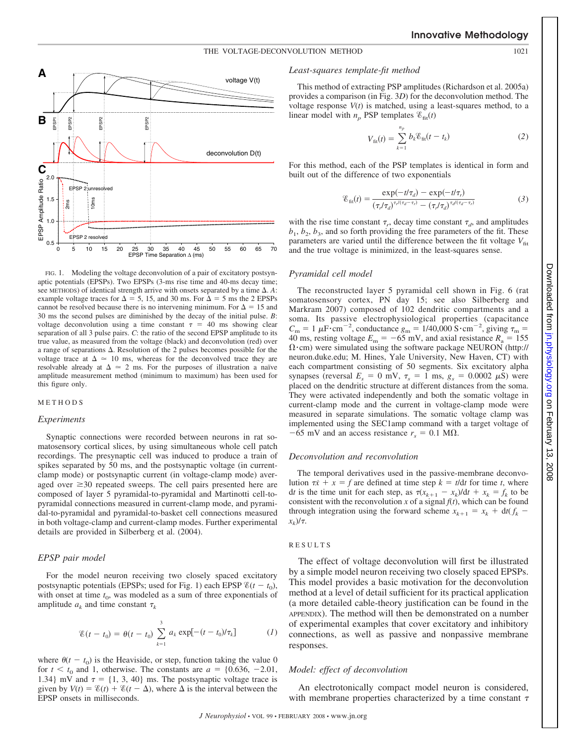

FIG. 1. Modeling the voltage deconvolution of a pair of excitatory postsynaptic potentials (EPSPs). Two EPSPs (3-ms rise time and 40-ms decay time; see METHODS) of identical strength arrive with onsets separated by a time  $\Delta$ . *A*: example voltage traces for  $\Delta = 5$ , 15, and 30 ms. For  $\Delta = 5$  ms the 2 EPSPs cannot be resolved because there is no intervening minimum. For  $\Delta = 15$  and 30 ms the second pulses are diminished by the decay of the initial pulse. *B*: voltage deconvolution using a time constant  $\tau = 40$  ms showing clear separation of all 3 pulse pairs. *C*: the ratio of the second EPSP amplitude to its true value, as measured from the voltage (black) and deconvolution (red) over a range of separations  $\Delta$ . Resolution of the 2 pulses becomes possible for the voltage trace at  $\Delta \approx 10$  ms, whereas for the deconvolved trace they are resolvable already at  $\Delta \approx 2$  ms. For the purposes of illustration a naïve amplitude measurement method (minimum to maximum) has been used for this figure only.

#### METHODS

#### *Experiments*

Synaptic connections were recorded between neurons in rat somatosensory cortical slices, by using simultaneous whole cell patch recordings. The presynaptic cell was induced to produce a train of spikes separated by 50 ms, and the postsynaptic voltage (in currentclamp mode) or postsynaptic current (in voltage-clamp mode) averaged over  $\geq 30$  repeated sweeps. The cell pairs presented here are composed of layer 5 pyramidal-to-pyramidal and Martinotti cell-topyramidal connections measured in current-clamp mode, and pyramidal-to-pyramidal and pyramidal-to-basket cell connections measured in both voltage-clamp and current-clamp modes. Further experimental details are provided in Silberberg et al. (2004).

#### *EPSP pair model*

For the model neuron receiving two closely spaced excitatory postsynaptic potentials (EPSPs; used for Fig. 1) each EPSP  $\mathscr{E}(t - t_0)$ , with onset at time  $t_0$ , was modeled as a sum of three exponentials of amplitude  $a_k$  and time constant  $\tau_k$ 

$$
\mathscr{E}(t - t_0) = \theta(t - t_0) \sum_{k=1}^{3} a_k \exp[-(t - t_0)/\tau_k]
$$
 (1)

where  $\theta(t - t_0)$  is the Heaviside, or step, function taking the value 0 for  $t < t_0$  and 1, otherwise. The constants are  $a = \{0.636, -2.01,$ 1.34} mV and  $\tau = \{1, 3, 40\}$  ms. The postsynaptic voltage trace is given by  $V(t) = \mathcal{E}(t) + \mathcal{E}(t - \Delta)$ , where  $\Delta$  is the interval between the EPSP onsets in milliseconds.

# *Least-squares template-fit method*

This method of extracting PSP amplitudes (Richardson et al. 2005a) provides a comparison (in Fig. 3*D*) for the deconvolution method. The voltage response  $V(t)$  is matched, using a least-squares method, to a linear model with  $n_p$  PSP templates  $\mathscr{E}_{\text{fit}}(t)$ 

$$
V_{\text{fit}}(t) = \sum_{k=1}^{n_p} b_k \mathcal{E}_{\text{fit}}(t - t_k)
$$
 (2)

For this method, each of the PSP templates is identical in form and built out of the difference of two exponentials

$$
\mathcal{E}_{\text{fit}}(t) = \frac{\exp(-t/\tau_d) - \exp(-t/\tau_r)}{(\tau_r/\tau_d)^{\tau_r/(\tau_d-\tau_r)} - (\tau_r/\tau_d)^{\tau_d/(\tau_d-\tau_r)}}
$$
(3)

with the rise time constant  $\tau_r$ , decay time constant  $\tau_d$ , and amplitudes  $b_1$ ,  $b_2$ ,  $b_3$ , and so forth providing the free parameters of the fit. These parameters are varied until the difference between the fit voltage  $V_{\text{fit}}$ and the true voltage is minimized, in the least-squares sense.

#### *Pyramidal cell model*

The reconstructed layer 5 pyramidal cell shown in Fig. 6 (rat somatosensory cortex, PN day 15; see also Silberberg and Markram 2007) composed of 102 dendritic compartments and a soma. Its passive electrophysiological properties (capacitance  $C_m = 1 \mu F \cdot cm^{-2}$ , conductance  $g_m = 1/40,000 \text{ S} \cdot cm^{-2}$ , giving  $\tau_m =$ 40 ms, resting voltage  $E_m = -65$  mV, and axial resistance  $R_a = 155$  $\Omega$ ·cm) were simulated using the software package NEURON (http:// neuron.duke.edu; M. Hines, Yale University, New Haven, CT) with each compartment consisting of 50 segments. Six excitatory alpha synapses (reversal  $E_s = 0$  mV,  $\tau_s = 1$  ms,  $g_s = 0.0002 \mu S$ ) were placed on the dendritic structure at different distances from the soma. They were activated independently and both the somatic voltage in current-clamp mode and the current in voltage-clamp mode were measured in separate simulations. The somatic voltage clamp was implemented using the SEC1amp command with a target voltage of  $-65$  mV and an access resistance  $r_s = 0.1$  M $\Omega$ .

#### *Deconvolution and reconvolution*

The temporal derivatives used in the passive-membrane deconvolution  $\tau \dot{x} + x = f$  are defined at time step  $k = t/dt$  for time *t*, where d*t* is the time unit for each step, as  $\tau(x_{k+1} - x_k)/dt + x_k = f_k$  to be consistent with the reconvolution  $x$  of a signal  $f(t)$ , which can be found through integration using the forward scheme  $x_{k+1} = x_k + dt(f_k$  $x_k$ )/ $\tau$ .

#### RESULTS

The effect of voltage deconvolution will first be illustrated by a simple model neuron receiving two closely spaced EPSPs. This model provides a basic motivation for the deconvolution method at a level of detail sufficient for its practical application (a more detailed cable-theory justification can be found in the APPENDIX). The method will then be demonstrated on a number of experimental examples that cover excitatory and inhibitory connections, as well as passive and nonpassive membrane responses.

#### *Model: effect of deconvolution*

An electrotonically compact model neuron is considered, with membrane properties characterized by a time constant  $\tau$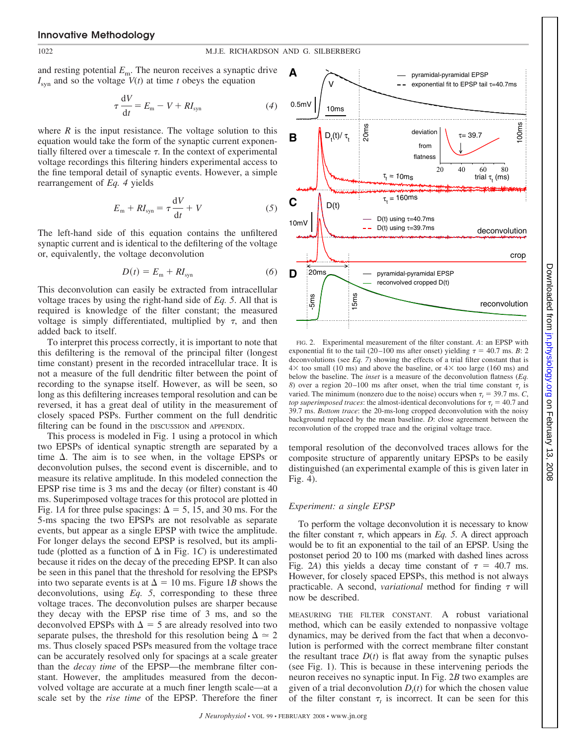and resting potential  $E_{\text{m}}$ . The neuron receives a synaptic drive  $I_{syn}$  and so the voltage  $V(t)$  at time *t* obeys the equation

$$
\tau \frac{dV}{dt} = E_m - V + R I_{syn} \tag{4}
$$

where  $R$  is the input resistance. The voltage solution to this equation would take the form of the synaptic current exponentially filtered over a timescale  $\tau$ . In the context of experimental voltage recordings this filtering hinders experimental access to the fine temporal detail of synaptic events. However, a simple rearrangement of *Eq. 4* yields

$$
E_{\rm m} + R I_{\rm syn} = \tau \frac{\mathrm{d}V}{\mathrm{d}t} + V \tag{5}
$$

The left-hand side of this equation contains the unfiltered synaptic current and is identical to the defiltering of the voltage or, equivalently, the voltage deconvolution

$$
D(t) = E_{\rm m} + R I_{\rm syn} \tag{6}
$$

This deconvolution can easily be extracted from intracellular voltage traces by using the right-hand side of *Eq. 5*. All that is required is knowledge of the filter constant; the measured voltage is simply differentiated, multiplied by  $\tau$ , and then added back to itself.

To interpret this process correctly, it is important to note that this defiltering is the removal of the principal filter (longest time constant) present in the recorded intracellular trace. It is not a measure of the full dendritic filter between the point of recording to the synapse itself. However, as will be seen, so long as this defiltering increases temporal resolution and can be reversed, it has a great deal of utility in the measurement of closely spaced PSPs. Further comment on the full dendritic filtering can be found in the DISCUSSION and APPENDIX.

This process is modeled in Fig. 1 using a protocol in which two EPSPs of identical synaptic strength are separated by a time  $\Delta$ . The aim is to see when, in the voltage EPSPs or deconvolution pulses, the second event is discernible, and to measure its relative amplitude. In this modeled connection the EPSP rise time is 3 ms and the decay (or filter) constant is 40 ms. Superimposed voltage traces for this protocol are plotted in Fig. 1A for three pulse spacings:  $\Delta = 5$ , 15, and 30 ms. For the 5-ms spacing the two EPSPs are not resolvable as separate events, but appear as a single EPSP with twice the amplitude. For longer delays the second EPSP is resolved, but its amplitude (plotted as a function of  $\Delta$  in Fig. 1*C*) is underestimated because it rides on the decay of the preceding EPSP. It can also be seen in this panel that the threshold for resolving the EPSPs into two separate events is at  $\Delta = 10$  ms. Figure 1*B* shows the deconvolutions, using *Eq. 5*, corresponding to these three voltage traces. The deconvolution pulses are sharper because they decay with the EPSP rise time of 3 ms, and so the deconvolved EPSPs with  $\Delta = 5$  are already resolved into two separate pulses, the threshold for this resolution being  $\Delta \simeq 2$ ms. Thus closely spaced PSPs measured from the voltage trace can be accurately resolved only for spacings at a scale greater than the *decay time* of the EPSP—the membrane filter constant. However, the amplitudes measured from the deconvolved voltage are accurate at a much finer length scale—at a scale set by the *rise time* of the EPSP. Therefore the finer



FIG. 2. Experimental measurement of the filter constant. *A*: an EPSP with exponential fit to the tail  $(20-100 \text{ ms after onset})$  yielding  $\tau = 40.7 \text{ ms}$ . *B*: 2 deconvolutions (see *Eq. 7*) showing the effects of a trial filter constant that is  $4 \times$  too small (10 ms) and above the baseline, or  $4 \times$  too large (160 ms) and below the baseline. The *inset* is a measure of the deconvolution flatness (*Eq. 8*) over a region 20–100 ms after onset, when the trial time constant  $\tau$ , is varied. The minimum (nonzero due to the noise) occurs when  $\tau_t = 39.7$  ms. *C*, *top superimposed traces:* the almost-identical deconvolutions for  $\tau$  = 40.7 and 39.7 ms. *Bottom trace*: the 20-ms-long cropped deconvolution with the noisy background replaced by the mean baseline. *D*: close agreement between the reconvolution of the cropped trace and the original voltage trace.

temporal resolution of the deconvolved traces allows for the composite structure of apparently unitary EPSPs to be easily distinguished (an experimental example of this is given later in Fig. 4).

#### *Experiment: a single EPSP*

To perform the voltage deconvolution it is necessary to know the filter constant  $\tau$ , which appears in *Eq.* 5. A direct approach would be to fit an exponential to the tail of an EPSP. Using the postonset period 20 to 100 ms (marked with dashed lines across Fig. 2*A*) this yields a decay time constant of  $\tau = 40.7$  ms. However, for closely spaced EPSPs, this method is not always practicable. A second, *variational* method for finding  $\tau$  will now be described.

MEASURING THE FILTER CONSTANT. A robust variational method, which can be easily extended to nonpassive voltage dynamics, may be derived from the fact that when a deconvolution is performed with the correct membrane filter constant the resultant trace  $D(t)$  is flat away from the synaptic pulses (see Fig. 1). This is because in these intervening periods the neuron receives no synaptic input. In Fig. 2*B* two examples are given of a trial deconvolution  $D_t(t)$  for which the chosen value of the filter constant  $\tau$ , is incorrect. It can be seen for this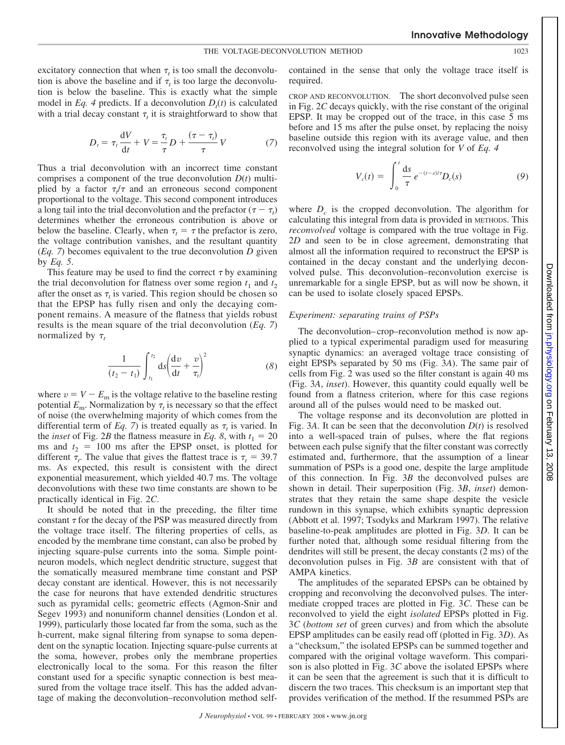excitatory connection that when  $\tau_t$  is too small the deconvolution is above the baseline and if  $\tau_t$  is too large the deconvolution is below the baseline. This is exactly what the simple model in *Eq. 4* predicts. If a deconvolution  $D_t(t)$  is calculated with a trial decay constant  $\tau_t$  it is straightforward to show that

$$
D_t = \tau_t \frac{dV}{dt} + V = \frac{\tau_t}{\tau} D + \frac{(\tau - \tau_t)}{\tau} V \tag{7}
$$

Thus a trial deconvolution with an incorrect time constant comprises a component of the true deconvolution *D*(*t*) multiplied by a factor  $\tau_t/\tau$  and an erroneous second component proportional to the voltage. This second component introduces a long tail into the trial deconvolution and the prefactor  $(\tau - \tau)$ determines whether the erroneous contribution is above or below the baseline. Clearly, when  $\tau_t = \tau$  the prefactor is zero, the voltage contribution vanishes, and the resultant quantity (*Eq. 7*) becomes equivalent to the true deconvolution *D* given by *Eq. 5*.

This feature may be used to find the correct  $\tau$  by examining the trial deconvolution for flatness over some region  $t_1$  and  $t_2$ after the onset as  $\tau_t$  is varied. This region should be chosen so that the EPSP has fully risen and only the decaying component remains. A measure of the flatness that yields robust results is the mean square of the trial deconvolution (*Eq. 7*) normalized by  $\tau_t$ 

$$
\frac{1}{(t_2 - t_1)} \int_{t_1}^{t_2} ds \left(\frac{dv}{dt} + \frac{v}{\tau_t}\right)^2 \tag{8}
$$

where  $v = V - E_{\text{m}}$  is the voltage relative to the baseline resting potential  $E_{\text{m}}$ . Normalization by  $\tau_t$  is necessary so that the effect of noise (the overwhelming majority of which comes from the differential term of *Eq.* 7) is treated equally as  $\tau_t$  is varied. In the *inset* of Fig. 2*B* the flatness measure in *Eq. 8*, with  $t_1 = 20$ ms and  $t_2$  = 100 ms after the EPSP onset, is plotted for different  $\tau_t$ . The value that gives the flattest trace is  $\tau_t = 39.7$ ms. As expected, this result is consistent with the direct exponential measurement, which yielded 40.7 ms. The voltage deconvolutions with these two time constants are shown to be practically identical in Fig. 2*C*.

It should be noted that in the preceding, the filter time constant  $\tau$  for the decay of the PSP was measured directly from the voltage trace itself. The filtering properties of cells, as encoded by the membrane time constant, can also be probed by injecting square-pulse currents into the soma. Simple pointneuron models, which neglect dendritic structure, suggest that the somatically measured membrane time constant and PSP decay constant are identical. However, this is not necessarily the case for neurons that have extended dendritic structures such as pyramidal cells; geometric effects (Agmon-Snir and Segev 1993) and nonuniform channel densities (London et al. 1999), particularly those located far from the soma, such as the h-current, make signal filtering from synapse to soma dependent on the synaptic location. Injecting square-pulse currents at the soma, however, probes only the membrane properties electronically local to the soma. For this reason the filter constant used for a specific synaptic connection is best measured from the voltage trace itself. This has the added advantage of making the deconvolution–reconvolution method selfcontained in the sense that only the voltage trace itself is required.

CROP AND RECONVOLUTION. The short deconvolved pulse seen in Fig. 2*C* decays quickly, with the rise constant of the original EPSP. It may be cropped out of the trace, in this case 5 ms before and 15 ms after the pulse onset, by replacing the noisy baseline outside this region with its average value, and then reconvolved using the integral solution for *V* of *Eq. 4*

$$
V_c(t) = \int_0^t \frac{ds}{\tau} e^{-(t-s)/\tau} D_c(s)
$$
 (9)

where  $D_c$  is the cropped deconvolution. The algorithm for calculating this integral from data is provided in METHODS. This *reconvolved* voltage is compared with the true voltage in Fig. 2*D* and seen to be in close agreement, demonstrating that almost all the information required to reconstruct the EPSP is contained in the decay constant and the underlying deconvolved pulse. This deconvolution–reconvolution exercise is unremarkable for a single EPSP, but as will now be shown, it can be used to isolate closely spaced EPSPs.

# *Experiment: separating trains of PSPs*

The deconvolution– crop–reconvolution method is now applied to a typical experimental paradigm used for measuring synaptic dynamics: an averaged voltage trace consisting of eight EPSPs separated by 50 ms (Fig. 3*A*). The same pair of cells from Fig. 2 was used so the filter constant is again 40 ms (Fig. 3*A*, *inset*). However, this quantity could equally well be found from a flatness criterion, where for this case regions around all of the pulses would need to be masked out.

The voltage response and its deconvolution are plotted in Fig. 3A. It can be seen that the deconvolution  $D(t)$  is resolved into a well-spaced train of pulses, where the flat regions between each pulse signify that the filter constant was correctly estimated and, furthermore, that the assumption of a linear summation of PSPs is a good one, despite the large amplitude of this connection. In Fig. 3*B* the deconvolved pulses are shown in detail. Their superposition (Fig. 3*B*, *inset*) demonstrates that they retain the same shape despite the vesicle rundown in this synapse, which exhibits synaptic depression (Abbott et al. 1997; Tsodyks and Markram 1997). The relative baseline-to-peak amplitudes are plotted in Fig. 3*D*. It can be further noted that, although some residual filtering from the dendrites will still be present, the decay constants (2 ms) of the deconvolution pulses in Fig. 3*B* are consistent with that of AMPA kinetics.

The amplitudes of the separated EPSPs can be obtained by cropping and reconvolving the deconvolved pulses. The intermediate cropped traces are plotted in Fig. 3*C*. These can be reconvolved to yield the eight *isolated* EPSPs plotted in Fig. 3*C* (*bottom set* of green curves) and from which the absolute EPSP amplitudes can be easily read off (plotted in Fig. 3*D*). As a "checksum," the isolated EPSPs can be summed together and compared with the original voltage waveform. This comparison is also plotted in Fig. 3*C* above the isolated EPSPs where it can be seen that the agreement is such that it is difficult to discern the two traces. This checksum is an important step that provides verification of the method. If the resummed PSPs are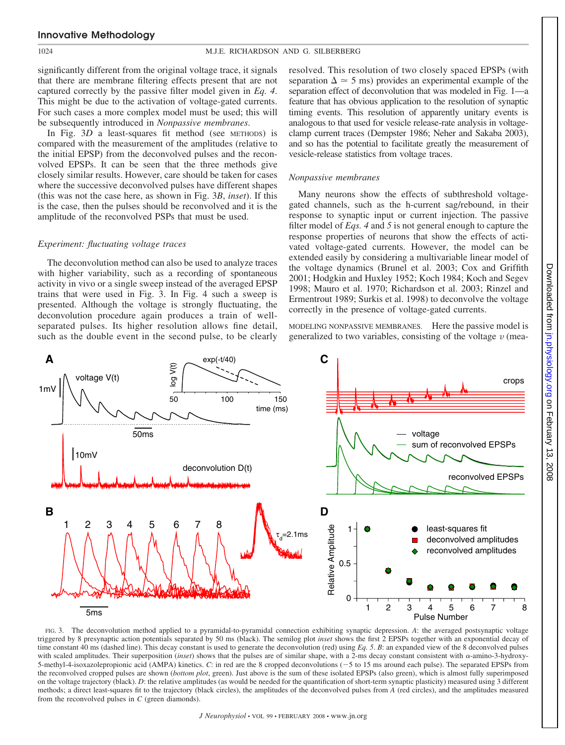significantly different from the original voltage trace, it signals that there are membrane filtering effects present that are not captured correctly by the passive filter model given in *Eq. 4*. This might be due to the activation of voltage-gated currents. For such cases a more complex model must be used; this will be subsequently introduced in *Nonpassive membranes*.

In Fig. 3D a least-squares fit method (see METHODS) is compared with the measurement of the amplitudes (relative to the initial EPSP) from the deconvolved pulses and the reconvolved EPSPs. It can be seen that the three methods give closely similar results. However, care should be taken for cases where the successive deconvolved pulses have different shapes (this was not the case here, as shown in Fig. 3*B*, *inset*). If this is the case, then the pulses should be reconvolved and it is the amplitude of the reconvolved PSPs that must be used.

## *Experiment: fluctuating voltage traces*

The deconvolution method can also be used to analyze traces with higher variability, such as a recording of spontaneous activity in vivo or a single sweep instead of the averaged EPSP trains that were used in Fig. 3. In Fig. 4 such a sweep is presented. Although the voltage is strongly fluctuating, the deconvolution procedure again produces a train of wellseparated pulses. Its higher resolution allows fine detail, such as the double event in the second pulse, to be clearly resolved. This resolution of two closely spaced EPSPs (with separation  $\Delta \approx 5$  ms) provides an experimental example of the separation effect of deconvolution that was modeled in Fig. 1—a feature that has obvious application to the resolution of synaptic timing events. This resolution of apparently unitary events is analogous to that used for vesicle release-rate analysis in voltageclamp current traces (Dempster 1986; Neher and Sakaba 2003), and so has the potential to facilitate greatly the measurement of vesicle-release statistics from voltage traces.

#### *Nonpassive membranes*

Many neurons show the effects of subthreshold voltagegated channels, such as the h-current sag/rebound, in their response to synaptic input or current injection. The passive filter model of *Eqs. 4* and *5* is not general enough to capture the response properties of neurons that show the effects of activated voltage-gated currents. However, the model can be extended easily by considering a multivariable linear model of the voltage dynamics (Brunel et al. 2003; Cox and Griffith 2001; Hodgkin and Huxley 1952; Koch 1984; Koch and Segev 1998; Mauro et al. 1970; Richardson et al. 2003; Rinzel and Ermentrout 1989; Surkis et al. 1998) to deconvolve the voltage correctly in the presence of voltage-gated currents.

MODELING NONPASSIVE MEMBRANES. Here the passive model is generalized to two variables, consisting of the voltage  $v$  (mea-



FIG. 3. The deconvolution method applied to a pyramidal-to-pyramidal connection exhibiting synaptic depression. *A*: the averaged postsynaptic voltage triggered by 8 presynaptic action potentials separated by 50 ms (black). The semilog plot *inset* shows the first 2 EPSPs together with an exponential decay of time constant 40 ms (dashed line). This decay constant is used to generate the deconvolution (red) using *Eq.* 5. *B*: an expanded view of the 8 deconvolved pulses with scaled amplitudes. Their superposition (*inset*) shows that the pulses are of similar shape, with a 2-ms decay constant consistent with  $\alpha$ -amino-3-hydroxy-5-methyl-4-isoxazolepropionic acid (AMPA) kinetics. *C*: in red are the 8 cropped deconvolutions (5 to 15 ms around each pulse). The separated EPSPs from the reconvolved cropped pulses are shown (*bottom plot*, green). Just above is the sum of these isolated EPSPs (also green), which is almost fully superimposed on the voltage trajectory (black). *D*: the relative amplitudes (as would be needed for the quantification of short-term synaptic plasticity) measured using 3 different methods; a direct least-squares fit to the trajectory (black circles), the amplitudes of the deconvolved pulses from *A* (red circles), and the amplitudes measured from the reconvolved pulses in *C* (green diamonds).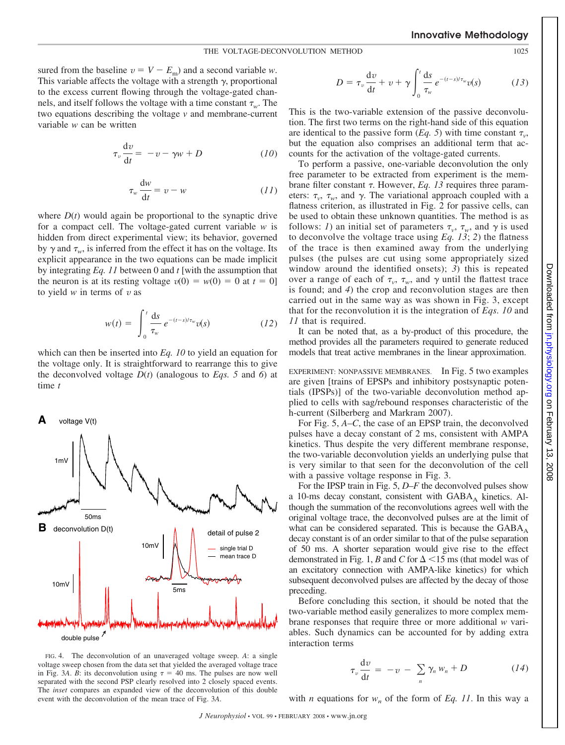sured from the baseline  $v = V - E_m$ ) and a second variable *w*. This variable affects the voltage with a strength  $\gamma$ , proportional to the excess current flowing through the voltage-gated channels, and itself follows the voltage with a time constant  $\tau_w$ . The two equations describing the voltage *v* and membrane-current variable *w* can be written

$$
\tau_v \frac{dv}{dt} = -v - \gamma w + D \tag{10}
$$

$$
\tau_w \frac{\mathrm{d}w}{\mathrm{d}t} = v - w \tag{11}
$$

where  $D(t)$  would again be proportional to the synaptic drive for a compact cell. The voltage-gated current variable *w* is hidden from direct experimental view; its behavior, governed by  $\gamma$  and  $\tau_w$ , is inferred from the effect it has on the voltage. Its explicit appearance in the two equations can be made implicit by integrating *Eq. 11* between 0 and *t* [with the assumption that the neuron is at its resting voltage  $v(0) = w(0) = 0$  at  $t = 0$ ] to yield *w* in terms of *v* as

$$
w(t) = \int_0^t \frac{\mathrm{d}s}{\tau_w} e^{-(t-s)/\tau_w} v(s) \tag{12}
$$

which can then be inserted into *Eq. 10* to yield an equation for the voltage only. It is straightforward to rearrange this to give the deconvolved voltage *D*(*t*) (analogous to *Eqs. 5* and *6*) at time *t*



FIG. 4. The deconvolution of an unaveraged voltage sweep. *A*: a single voltage sweep chosen from the data set that yielded the averaged voltage trace in Fig. 3*A*. *B*: its deconvolution using  $\tau = 40$  ms. The pulses are now well separated with the second PSP clearly resolved into 2 closely spaced events. The *inset* compares an expanded view of the deconvolution of this double event with the deconvolution of the mean trace of Fig. 3*A*.

THE VOLTAGE-DECONVOLUTION METHOD 1025

$$
D = \tau_v \frac{dv}{dt} + v + \gamma \int_0^t \frac{ds}{\tau_w} e^{-(t-s)/\tau_w} v(s) \qquad (13)
$$

This is the two-variable extension of the passive deconvolution. The first two terms on the right-hand side of this equation are identical to the passive form  $(Eq. 5)$  with time constant  $\tau_{v}$ , but the equation also comprises an additional term that accounts for the activation of the voltage-gated currents.

To perform a passive, one-variable deconvolution the only free parameter to be extracted from experiment is the membrane filter constant  $\tau$ . However, *Eq. 13* requires three parameters:  $\tau_{v}$ ,  $\tau_{w}$ , and  $\gamma$ . The variational approach coupled with a flatness criterion, as illustrated in Fig. 2 for passive cells, can be used to obtain these unknown quantities. The method is as follows: *1*) an initial set of parameters  $\tau_{\nu}$ ,  $\tau_{\nu}$ , and  $\gamma$  is used to deconvolve the voltage trace using *Eq. 13*; *2*) the flatness of the trace is then examined away from the underlying pulses (the pulses are cut using some appropriately sized window around the identified onsets); *3*) this is repeated over a range of each of  $\tau_{v}$ ,  $\tau_{w}$ , and  $\gamma$  until the flattest trace is found; and *4*) the crop and reconvolution stages are then carried out in the same way as was shown in Fig. 3, except that for the reconvolution it is the integration of *Eqs. 10* and *11* that is required.

It can be noted that, as a by-product of this procedure, the method provides all the parameters required to generate reduced models that treat active membranes in the linear approximation.

EXPERIMENT: NONPASSIVE MEMBRANES. In Fig. 5 two examples are given [trains of EPSPs and inhibitory postsynaptic potentials (IPSPs)] of the two-variable deconvolution method applied to cells with sag/rebound responses characteristic of the h-current (Silberberg and Markram 2007).

For Fig. 5, *A*–*C*, the case of an EPSP train, the deconvolved pulses have a decay constant of 2 ms, consistent with AMPA kinetics. Thus despite the very different membrane response, the two-variable deconvolution yields an underlying pulse that is very similar to that seen for the deconvolution of the cell with a passive voltage response in Fig. 3.

For the IPSP train in Fig. 5, *D*–*F* the deconvolved pulses show a 10-ms decay constant, consistent with  $GABA_A$  kinetics. Although the summation of the reconvolutions agrees well with the original voltage trace, the deconvolved pulses are at the limit of what can be considered separated. This is because the  $GABA_A$ decay constant is of an order similar to that of the pulse separation of 50 ms. A shorter separation would give rise to the effect demonstrated in Fig. 1, *B* and *C* for  $\Delta$  <15 ms (that model was of an excitatory connection with AMPA-like kinetics) for which subsequent deconvolved pulses are affected by the decay of those preceding.

Before concluding this section, it should be noted that the two-variable method easily generalizes to more complex membrane responses that require three or more additional *w* variables. Such dynamics can be accounted for by adding extra interaction terms

$$
\tau_v \frac{\mathrm{d}v}{\mathrm{d}t} = -v - \sum_n \gamma_n w_n + D \qquad (14)
$$

with *n* equations for  $w_n$  of the form of *Eq. 11*. In this way a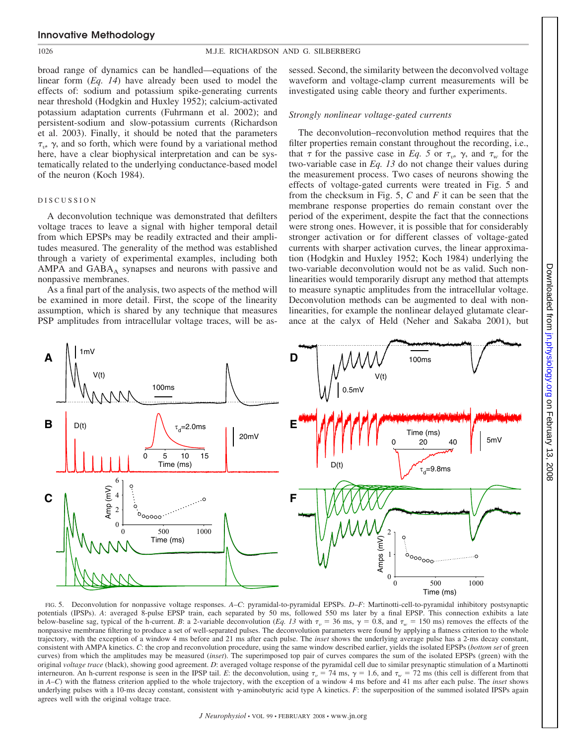broad range of dynamics can be handled—equations of the linear form (*Eq. 14*) have already been used to model the effects of: sodium and potassium spike-generating currents near threshold (Hodgkin and Huxley 1952); calcium-activated potassium adaptation currents (Fuhrmann et al. 2002); and persistent-sodium and slow-potassium currents (Richardson et al. 2003). Finally, it should be noted that the parameters  $\tau_v$ ,  $\gamma$ , and so forth, which were found by a variational method here, have a clear biophysical interpretation and can be systematically related to the underlying conductance-based model of the neuron (Koch 1984).

#### DISCUSSION

A deconvolution technique was demonstrated that defilters voltage traces to leave a signal with higher temporal detail from which EPSPs may be readily extracted and their amplitudes measured. The generality of the method was established through a variety of experimental examples, including both AMPA and  $GABA_A$  synapses and neurons with passive and nonpassive membranes.

As a final part of the analysis, two aspects of the method will be examined in more detail. First, the scope of the linearity assumption, which is shared by any technique that measures PSP amplitudes from intracellular voltage traces, will be assessed. Second, the similarity between the deconvolved voltage waveform and voltage-clamp current measurements will be investigated using cable theory and further experiments.

# *Strongly nonlinear voltage-gated currents*

The deconvolution–reconvolution method requires that the filter properties remain constant throughout the recording, i.e., that  $\tau$  for the passive case in *Eq.* 5 or  $\tau_v$ ,  $\gamma$ , and  $\tau_w$  for the two-variable case in *Eq. 13* do not change their values during the measurement process. Two cases of neurons showing the effects of voltage-gated currents were treated in Fig. 5 and from the checksum in Fig. 5, *C* and *F* it can be seen that the membrane response properties do remain constant over the period of the experiment, despite the fact that the connections were strong ones. However, it is possible that for considerably stronger activation or for different classes of voltage-gated currents with sharper activation curves, the linear approximation (Hodgkin and Huxley 1952; Koch 1984) underlying the two-variable deconvolution would not be as valid. Such nonlinearities would temporarily disrupt any method that attempts to measure synaptic amplitudes from the intracellular voltage. Deconvolution methods can be augmented to deal with nonlinearities, for example the nonlinear delayed glutamate clearance at the calyx of Held (Neher and Sakaba 2001), but



FIG. 5. Deconvolution for nonpassive voltage responses. *A*–*C*: pyramidal-to-pyramidal EPSPs. *D*–*F*: Martinotti-cell-to-pyramidal inhibitory postsynaptic potentials (IPSPs). *A*: averaged 8-pulse EPSP train, each separated by 50 ms, followed 550 ms later by a final EPSP. This connection exhibits a late below-baseline sag, typical of the h-current. *B*: a 2-variable deconvolution (*Eq. 13* with  $\tau_v = 36$  ms,  $\gamma = 0.8$ , and  $\tau_w = 150$  ms) removes the effects of the nonpassive membrane filtering to produce a set of well-separated pulses. The deconvolution parameters were found by applying a flatness criterion to the whole trajectory, with the exception of a window 4 ms before and 21 ms after each pulse. The *inset* shows the underlying average pulse has a 2-ms decay constant, consistent with AMPA kinetics. *C*: the crop and reconvolution procedure, using the same window described earlier, yields the isolated EPSPs (*bottom set* of green curves) from which the amplitudes may be measured (*inset*). The superimposed top pair of curves compares the sum of the isolated EPSPs (green) with the original *voltage trace* (black), showing good agreement. *D*: averaged voltage response of the pyramidal cell due to similar presynaptic stimulation of a Martinotti interneuron. An h-current response is seen in the IPSP tail. *E*: the deconvolution, using  $\tau_v = 74$  ms,  $\gamma = 1.6$ , and  $\tau_w = 72$  ms (this cell is different from that in *A*–*C*) with the flatness criterion applied to the whole trajectory, with the exception of a window 4 ms before and 41 ms after each pulse. The *inset* shows underlying pulses with a 10-ms decay constant, consistent with  $\gamma$ -aminobutyric acid type A kinetics.  $F$ : the superposition of the summed isolated IPSPs again agrees well with the original voltage trace.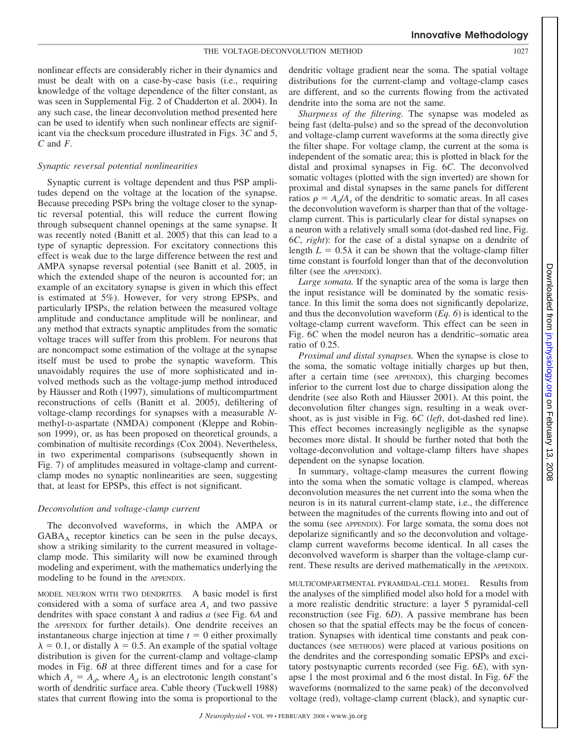nonlinear effects are considerably richer in their dynamics and must be dealt with on a case-by-case basis (i.e., requiring knowledge of the voltage dependence of the filter constant, as was seen in Supplemental Fig. 2 of Chadderton et al. 2004). In any such case, the linear deconvolution method presented here can be used to identify when such nonlinear effects are significant via the checksum procedure illustrated in Figs. 3*C* and 5, *C* and *F*.

## *Synaptic reversal potential nonlinearities*

Synaptic current is voltage dependent and thus PSP amplitudes depend on the voltage at the location of the synapse. Because preceding PSPs bring the voltage closer to the synaptic reversal potential, this will reduce the current flowing through subsequent channel openings at the same synapse. It was recently noted (Banitt et al. 2005) that this can lead to a type of synaptic depression. For excitatory connections this effect is weak due to the large difference between the rest and AMPA synapse reversal potential (see Banitt et al. 2005, in which the extended shape of the neuron is accounted for; an example of an excitatory synapse is given in which this effect is estimated at 5%). However, for very strong EPSPs, and particularly IPSPs, the relation between the measured voltage amplitude and conductance amplitude will be nonlinear, and any method that extracts synaptic amplitudes from the somatic voltage traces will suffer from this problem. For neurons that are noncompact some estimation of the voltage at the synapse itself must be used to probe the synaptic waveform. This unavoidably requires the use of more sophisticated and involved methods such as the voltage-jump method introduced by Häusser and Roth (1997), simulations of multicompartment reconstructions of cells (Banitt et al. 2005), defiltering of voltage-clamp recordings for synapses with a measurable *N*methyl-D-aspartate (NMDA) component (Kleppe and Robinson 1999), or, as has been proposed on theoretical grounds, a combination of multisite recordings (Cox 2004). Nevertheless, in two experimental comparisons (subsequently shown in Fig. 7) of amplitudes measured in voltage-clamp and currentclamp modes no synaptic nonlinearities are seen, suggesting that, at least for EPSPs, this effect is not significant.

#### *Deconvolution and voltage-clamp current*

The deconvolved waveforms, in which the AMPA or  $GABA_A$  receptor kinetics can be seen in the pulse decays, show a striking similarity to the current measured in voltageclamp mode. This similarity will now be examined through modeling and experiment, with the mathematics underlying the modeling to be found in the APPENDIX.

MODEL NEURON WITH TWO DENDRITES. A basic model is first considered with a soma of surface area  $A_s$  and two passive dendrites with space constant  $\lambda$  and radius *a* (see Fig. 6*A* and the APPENDIX for further details). One dendrite receives an instantaneous charge injection at time  $t = 0$  either proximally  $\lambda = 0.1$ , or distally  $\lambda = 0.5$ . An example of the spatial voltage distribution is given for the current-clamp and voltage-clamp modes in Fig. 6*B* at three different times and for a case for which  $A_s = A_d$ , where  $A_d$  is an electrotonic length constant's worth of dendritic surface area. Cable theory (Tuckwell 1988) states that current flowing into the soma is proportional to the

dendritic voltage gradient near the soma. The spatial voltage distributions for the current-clamp and voltage-clamp cases are different, and so the currents flowing from the activated dendrite into the soma are not the same.

*Sharpness of the filtering.* The synapse was modeled as being fast (delta-pulse) and so the spread of the deconvolution and voltage-clamp current waveforms at the soma directly give the filter shape. For voltage clamp, the current at the soma is independent of the somatic area; this is plotted in black for the distal and proximal synapses in Fig. 6*C*. The deconvolved somatic voltages (plotted with the sign inverted) are shown for proximal and distal synapses in the same panels for different ratios  $\rho = A_d/A_s$  of the dendritic to somatic areas. In all cases the deconvolution waveform is sharper than that of the voltageclamp current. This is particularly clear for distal synapses on a neuron with a relatively small soma (dot-dashed red line, Fig. 6*C*, *right*): for the case of a distal synapse on a dendrite of length  $L = 0.5\lambda$  it can be shown that the voltage-clamp filter time constant is fourfold longer than that of the deconvolution filter (see the APPENDIX).

*Large somata.* If the synaptic area of the soma is large then the input resistance will be dominated by the somatic resistance. In this limit the soma does not significantly depolarize, and thus the deconvolution waveform (*Eq. 6*) is identical to the voltage-clamp current waveform. This effect can be seen in Fig. 6*C* when the model neuron has a dendritic–somatic area ratio of 0.25.

*Proximal and distal synapses.* When the synapse is close to the soma, the somatic voltage initially charges up but then, after a certain time (see APPENDIX), this charging becomes inferior to the current lost due to charge dissipation along the dendrite (see also Roth and Häusser 2001). At this point, the deconvolution filter changes sign, resulting in a weak overshoot, as is just visible in Fig. 6*C* (*left*, dot-dashed red line). This effect becomes increasingly negligible as the synapse becomes more distal. It should be further noted that both the voltage-deconvolution and voltage-clamp filters have shapes dependent on the synapse location.

In summary, voltage-clamp measures the current flowing into the soma when the somatic voltage is clamped, whereas deconvolution measures the net current into the soma when the neuron is in its natural current-clamp state, i.e., the difference between the magnitudes of the currents flowing into and out of the soma (see APPENDIX). For large somata, the soma does not depolarize significantly and so the deconvolution and voltageclamp current waveforms become identical. In all cases the deconvolved waveform is sharper than the voltage-clamp current. These results are derived mathematically in the APPENDIX.

MULTICOMPARTMENTAL PYRAMIDAL-CELL MODEL. Results from the analyses of the simplified model also hold for a model with a more realistic dendritic structure: a layer 5 pyramidal-cell reconstruction (see Fig. 6*D*). A passive membrane has been chosen so that the spatial effects may be the focus of concentration. Synapses with identical time constants and peak conductances (see METHODS) were placed at various positions on the dendrites and the corresponding somatic EPSPs and excitatory postsynaptic currents recorded (see Fig. 6*E*), with synapse 1 the most proximal and 6 the most distal. In Fig. 6*F* the waveforms (normalized to the same peak) of the deconvolved voltage (red), voltage-clamp current (black), and synaptic cur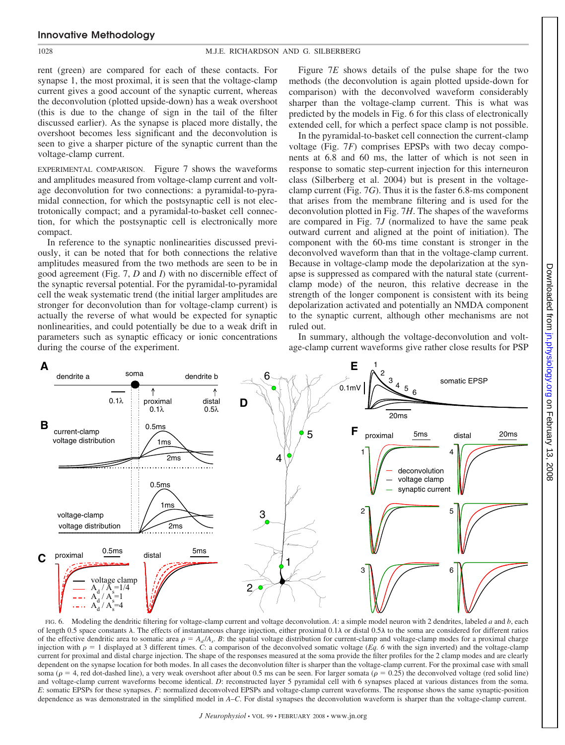rent (green) are compared for each of these contacts. For synapse 1, the most proximal, it is seen that the voltage-clamp current gives a good account of the synaptic current, whereas the deconvolution (plotted upside-down) has a weak overshoot (this is due to the change of sign in the tail of the filter discussed earlier). As the synapse is placed more distally, the overshoot becomes less significant and the deconvolution is seen to give a sharper picture of the synaptic current than the voltage-clamp current.

EXPERIMENTAL COMPARISON. Figure 7 shows the waveforms and amplitudes measured from voltage-clamp current and voltage deconvolution for two connections: a pyramidal-to-pyramidal connection, for which the postsynaptic cell is not electrotonically compact; and a pyramidal-to-basket cell connection, for which the postsynaptic cell is electronically more compact.

In reference to the synaptic nonlinearities discussed previously, it can be noted that for both connections the relative amplitudes measured from the two methods are seen to be in good agreement (Fig. 7, *D* and *I*) with no discernible effect of the synaptic reversal potential. For the pyramidal-to-pyramidal cell the weak systematic trend (the initial larger amplitudes are stronger for deconvolution than for voltage-clamp current) is actually the reverse of what would be expected for synaptic nonlinearities, and could potentially be due to a weak drift in parameters such as synaptic efficacy or ionic concentrations during the course of the experiment.

Figure 7*E* shows details of the pulse shape for the two methods (the deconvolution is again plotted upside-down for comparison) with the deconvolved waveform considerably sharper than the voltage-clamp current. This is what was predicted by the models in Fig. 6 for this class of electronically extended cell, for which a perfect space clamp is not possible.

In the pyramidal-to-basket cell connection the current-clamp voltage (Fig. 7*F*) comprises EPSPs with two decay components at 6.8 and 60 ms, the latter of which is not seen in response to somatic step-current injection for this interneuron class (Silberberg et al. 2004) but is present in the voltageclamp current (Fig. 7*G*). Thus it is the faster 6.8-ms component that arises from the membrane filtering and is used for the deconvolution plotted in Fig. 7*H*. The shapes of the waveforms are compared in Fig. 7*J* (normalized to have the same peak outward current and aligned at the point of initiation). The component with the 60-ms time constant is stronger in the deconvolved waveform than that in the voltage-clamp current. Because in voltage-clamp mode the depolarization at the synapse is suppressed as compared with the natural state (currentclamp mode) of the neuron, this relative decrease in the strength of the longer component is consistent with its being depolarization activated and potentially an NMDA component to the synaptic current, although other mechanisms are not ruled out.

In summary, although the voltage-deconvolution and voltage-clamp current waveforms give rather close results for PSP



FIG. 6. Modeling the dendritic filtering for voltage-clamp current and voltage deconvolution. *A*: a simple model neuron with 2 dendrites, labeled *a* and *b*, each of length 0.5 space constants  $\lambda$ . The effects of instantaneous charge injection, either proximal 0.1 $\lambda$  or distal 0.5 $\lambda$  to the soma are considered for different ratios of the effective dendritic area to somatic area  $\rho = A_d/A_s$ . *B*: the spatial voltage distribution for current-clamp and voltage-clamp modes for a proximal charge injection with  $\rho = 1$  displayed at 3 different times. *C*: a comparison of the deconvolved somatic voltage (*Eq. 6* with the sign inverted) and the voltage-clamp current for proximal and distal charge injection. The shape of the responses measured at the soma provide the filter profiles for the 2 clamp modes and are clearly dependent on the synapse location for both modes. In all cases the deconvolution filter is sharper than the voltage-clamp current. For the proximal case with small soma ( $\rho = 4$ , red dot-dashed line), a very weak overshoot after about 0.5 ms can be seen. For larger somata ( $\rho = 0.25$ ) the deconvolved voltage (red solid line) and voltage-clamp current waveforms become identical. *D*: reconstructed layer 5 pyramidal cell with 6 synapses placed at various distances from the soma. *E*: somatic EPSPs for these synapses. *F*: normalized deconvolved EPSPs and voltage-clamp current waveforms. The response shows the same synaptic-position dependence as was demonstrated in the simplified model in *A*–*C*. For distal synapses the deconvolution waveform is sharper than the voltage-clamp current.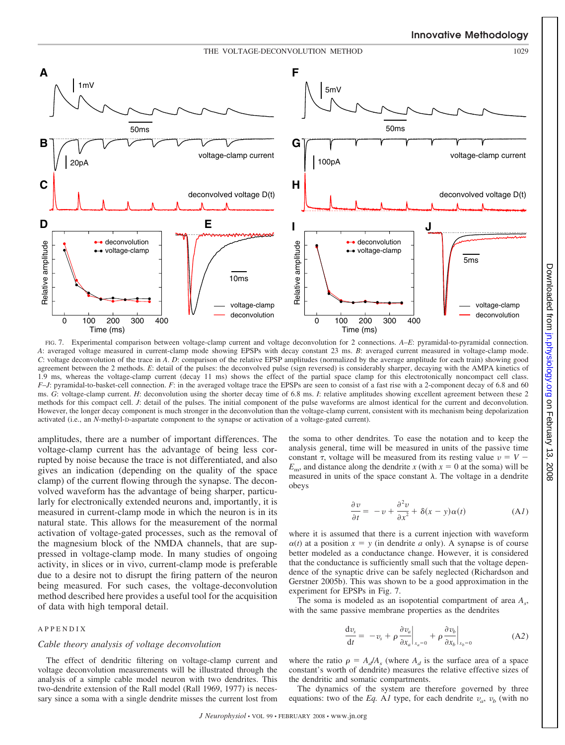# **Innovative Methodology**

#### THE VOLTAGE-DECONVOLUTION METHOD 1029



FIG. 7. Experimental comparison between voltage-clamp current and voltage deconvolution for 2 connections. *A*–*E*: pyramidal-to-pyramidal connection. *A*: averaged voltage measured in current-clamp mode showing EPSPs with decay constant 23 ms. *B*: averaged current measured in voltage-clamp mode. *C*: voltage deconvolution of the trace in *A*. *D*: comparison of the relative EPSP amplitudes (normalized by the average amplitude for each train) showing good agreement between the 2 methods. E: detail of the pulses: the deconvolved pulse (sign reversed) is considerably sharper, decaying with the AMPA kinetics of 1.9 ms, whereas the voltage-clamp current (decay 11 ms) shows the effect of the partial space clamp for this electrotonically noncompact cell class. *F*–*J*: pyramidal-to-basket-cell connection. *F*: in the averaged voltage trace the EPSPs are seen to consist of a fast rise with a 2-component decay of 6.8 and 60 ms. *G*: voltage-clamp current. *H*: deconvolution using the shorter decay time of 6.8 ms. *I*: relative amplitudes showing excellent agreement between these 2 methods for this compact cell. *J*: detail of the pulses. The initial component of the pulse waveforms are almost identical for the current and deconvolution. However, the longer decay component is much stronger in the deconvolution than the voltage-clamp current, consistent with its mechanism being depolarization activated (i.e., an *N*-methyl-D-aspartate component to the synapse or activation of a voltage-gated current).

amplitudes, there are a number of important differences. The voltage-clamp current has the advantage of being less corrupted by noise because the trace is not differentiated, and also gives an indication (depending on the quality of the space clamp) of the current flowing through the synapse. The deconvolved waveform has the advantage of being sharper, particularly for electronically extended neurons and, importantly, it is measured in current-clamp mode in which the neuron is in its natural state. This allows for the measurement of the normal activation of voltage-gated processes, such as the removal of the magnesium block of the NMDA channels, that are suppressed in voltage-clamp mode. In many studies of ongoing activity, in slices or in vivo, current-clamp mode is preferable due to a desire not to disrupt the firing pattern of the neuron being measured. For such cases, the voltage-deconvolution method described here provides a useful tool for the acquisition of data with high temporal detail.

# APPENDIX

#### *Cable theory analysis of voltage deconvolution*

The effect of dendritic filtering on voltage-clamp current and voltage deconvolution measurements will be illustrated through the analysis of a simple cable model neuron with two dendrites. This two-dendrite extension of the Rall model (Rall 1969, 1977) is necessary since a soma with a single dendrite misses the current lost from the soma to other dendrites. To ease the notation and to keep the analysis general, time will be measured in units of the passive time constant  $\tau$ , voltage will be measured from its resting value  $v = V E_{\text{m}}$ , and distance along the dendrite *x* (with  $x = 0$  at the soma) will be measured in units of the space constant  $\lambda$ . The voltage in a dendrite obeys

$$
\frac{\partial v}{\partial t} = -v + \frac{\partial^2 v}{\partial x^2} + \delta(x - y)\alpha(t) \tag{A1}
$$

where it is assumed that there is a current injection with waveform  $\alpha(t)$  at a position  $x = y$  (in dendrite *a* only). A synapse is of course better modeled as a conductance change. However, it is considered that the conductance is sufficiently small such that the voltage dependence of the synaptic drive can be safely neglected (Richardson and Gerstner 2005b). This was shown to be a good approximation in the experiment for EPSPs in Fig. 7.

The soma is modeled as an isopotential compartment of area *As*, with the same passive membrane properties as the dendrites

$$
\frac{dv_s}{dt} = -v_s + \rho \frac{\partial v_a}{\partial x_a}\bigg|_{x_a=0} + \rho \frac{\partial v_b}{\partial x_b}\bigg|_{x_b=0}
$$
 (A2)

where the ratio  $\rho = A_d/A_s$  (where  $A_d$  is the surface area of a space constant's worth of dendrite) measures the relative effective sizes of the dendritic and somatic compartments.

The dynamics of the system are therefore governed by three equations: two of the *Eq.* A*1* type, for each dendrite  $v_a$ ,  $v_b$  (with no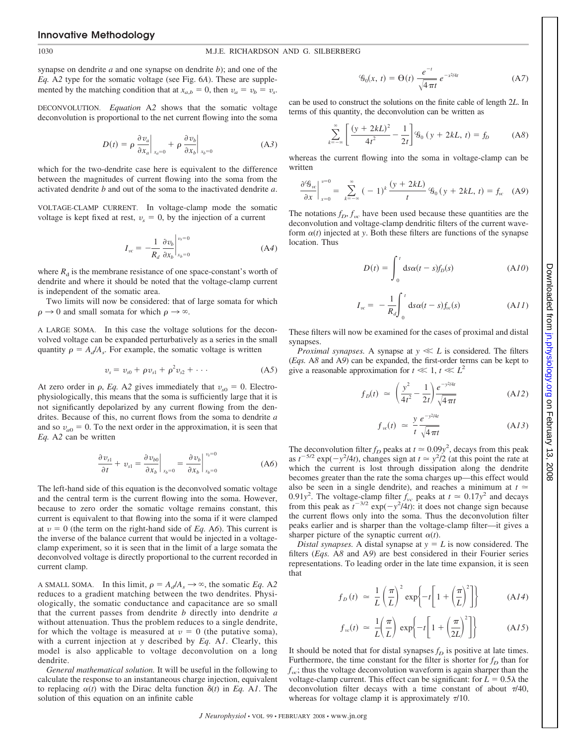# **Innovative Methodology**

#### 1030 M.J.E. RICHARDSON AND G. SILBERBERG

synapse on dendrite *a* and one synapse on dendrite *b*); and one of the *Eq.* A*2* type for the somatic voltage (see Fig. 6*A*). These are supplemented by the matching condition that at  $x_{a,b} = 0$ , then  $v_a = v_b = v_s$ .

DECONVOLUTION. *Equation* A*2* shows that the somatic voltage deconvolution is proportional to the net current flowing into the soma

$$
D(t) = \rho \left. \frac{\partial v_a}{\partial x_a} \right|_{x_a=0} + \rho \left. \frac{\partial v_b}{\partial x_b} \right|_{x_b=0}
$$
 (A3)

which for the two-dendrite case here is equivalent to the difference between the magnitudes of current flowing into the soma from the activated dendrite *b* and out of the soma to the inactivated dendrite *a*.

VOLTAGE-CLAMP CURRENT. In voltage-clamp mode the somatic voltage is kept fixed at rest,  $v<sub>s</sub> = 0$ , by the injection of a current

$$
I_{\infty} = -\frac{1}{R_d} \frac{\partial v_b}{\partial x_b} \bigg|_{x_b = 0}^{v_s = 0}
$$
 (A4)

where  $R_d$  is the membrane resistance of one space-constant's worth of dendrite and where it should be noted that the voltage-clamp current is independent of the somatic area.

Two limits will now be considered: that of large somata for which  $\rho \rightarrow 0$  and small somata for which  $\rho \rightarrow \infty$ .

A LARGE SOMA. In this case the voltage solutions for the deconvolved voltage can be expanded perturbatively as a series in the small quantity  $\rho = A_d/A_s$ . For example, the somatic voltage is written

$$
v_s = v_{s0} + \rho v_{s1} + \rho^2 v_{s2} + \cdots \tag{A5}
$$

At zero order in  $\rho$ , *Eq.* A2 gives immediately that  $v_{s0} = 0$ . Electrophysiologically, this means that the soma is sufficiently large that it is not significantly depolarized by any current flowing from the dendrites. Because of this, no current flows from the soma to dendrite *a* and so  $v_{a0} = 0$ . To the next order in the approximation, it is seen that *Eq.* A*2* can be written

$$
\frac{\partial v_{s1}}{\partial t} + v_{s1} = \frac{\partial v_{b0}}{\partial x_b}\bigg|_{x_b = 0} = \frac{\partial v_b}{\partial x_b}\bigg|_{x_b = 0}^{v_s = 0}
$$
 (A6)

The left-hand side of this equation is the deconvolved somatic voltage and the central term is the current flowing into the soma. However, because to zero order the somatic voltage remains constant, this current is equivalent to that flowing into the soma if it were clamped at  $v = 0$  (the term on the right-hand side of *Eq.* A*6*). This current is the inverse of the balance current that would be injected in a voltageclamp experiment, so it is seen that in the limit of a large somata the deconvolved voltage is directly proportional to the current recorded in current clamp.

A SMALL SOMA. In this limit,  $\rho = A_d/A_s \rightarrow \infty$ , the somatic *Eq.* A2 reduces to a gradient matching between the two dendrites. Physiologically, the somatic conductance and capacitance are so small that the current passes from dendrite *b* directly into dendrite *a* without attenuation. Thus the problem reduces to a single dendrite, for which the voltage is measured at  $v = 0$  (the putative soma), with a current injection at *y* described by *Eq.* A*1*. Clearly, this model is also applicable to voltage deconvolution on a long dendrite.

*General mathematical solution.* It will be useful in the following to calculate the response to an instantaneous charge injection, equivalent to replacing  $\alpha(t)$  with the Dirac delta function  $\delta(t)$  in *Eq.* A*1*. The solution of this equation on an infinite cable

$$
\mathcal{G}_0(x, t) = \Theta(t) \frac{e^{-t}}{\sqrt{4\pi t}} e^{-x^2/4t}
$$
 (A7)

can be used to construct the solutions on the finite cable of length 2*L*. In terms of this quantity, the deconvolution can be written as

 $\zeta$ 

$$
\sum_{k=-\infty}^{\infty} \left[ \frac{(y+2kL)^2}{4t^2} - \frac{1}{2t} \right] \mathcal{G}_0 \left( y + 2kL, t \right) = f_D \tag{A8}
$$

whereas the current flowing into the soma in voltage-clamp can be written

$$
\frac{\partial \mathcal{G}_w}{\partial x}\bigg|_{x=0}^{v=0} = \sum_{k=-\infty}^{\infty} (-1)^k \frac{(y+2kL)}{t} \mathcal{G}_0(y+2kL, t) = f_w \quad \text{(A9)}
$$

The notations  $f_D$ ,  $f_{vc}$  have been used because these quantities are the deconvolution and voltage-clamp dendritic filters of the current waveform  $\alpha(t)$  injected at *y*. Both these filters are functions of the synapse location. Thus

$$
D(t) = \int_0^t ds \alpha(t - s) f_D(s)
$$
 (A10)

$$
I_{vc} = -\frac{1}{R_d} \int_0^t ds \alpha(t-s) f_{vc}(s)
$$
 (A11)

These filters will now be examined for the cases of proximal and distal synapses.

*Proximal synapses.* A synapse at  $y \ll L$  is considered. The filters (*Eqs.* A*8* and A*9*) can be expanded, the first-order terms can be kept to give a reasonable approximation for  $t \ll 1$ ,  $t \ll L^2$ 

$$
f_D(t) \approx \left(\frac{y^2}{4t^2} - \frac{1}{2t}\right) \frac{e^{-y^2/4t}}{\sqrt{4\pi t}}
$$
 (A12)

$$
f_w(t) \approx \frac{y}{t} \frac{e^{-y^2/4t}}{\sqrt{4\pi t}} \tag{A13}
$$

The deconvolution filter  $f_D$  peaks at  $t \approx 0.09y^2$ , decays from this peak as  $t^{-5/2}$  exp( $-y^2/4t$ ), changes sign at  $t \approx y^2/2$  (at this point the rate at which the current is lost through dissipation along the dendrite becomes greater than the rate the soma charges up—this effect would also be seen in a single dendrite), and reaches a minimum at  $t \approx$ 0.91*y*<sup>2</sup>. The voltage-clamp filter  $f_{yc}$  peaks at  $t \approx 0.17y^2$  and decays from this peak as  $t^{-3/2}$  exp( $-y^2/4t$ ): it does not change sign because the current flows only into the soma. Thus the deconvolution filter peaks earlier and is sharper than the voltage-clamp filter—it gives a sharper picture of the synaptic current  $\alpha(t)$ .

*Distal synapses.* A distal synapse at  $y = L$  is now considered. The filters (*Eqs.* A*8* and A*9*) are best considered in their Fourier series representations. To leading order in the late time expansion, it is seen that

$$
f_D(t) \approx \frac{1}{L} \left(\frac{\pi}{L}\right)^2 \exp\left\{-t \left[1 + \left(\frac{\pi}{L}\right)^2\right]\right\} \tag{A14}
$$

$$
f_{vc}(t) \approx \frac{1}{L} \left( \frac{\pi}{L} \right) \exp \left\{ -t \left[ 1 + \left( \frac{\pi}{2L} \right)^2 \right] \right\} \tag{A15}
$$

It should be noted that for distal synapses  $f<sub>D</sub>$  is positive at late times. Furthermore, the time constant for the filter is shorter for  $f<sub>D</sub>$  than for  $f_{\nu c}$ ; thus the voltage deconvolution waveform is again sharper than the voltage-clamp current. This effect can be significant: for  $L = 0.5\lambda$  the deconvolution filter decays with a time constant of about  $\tau/40$ , whereas for voltage clamp it is approximately  $\tau/10$ .